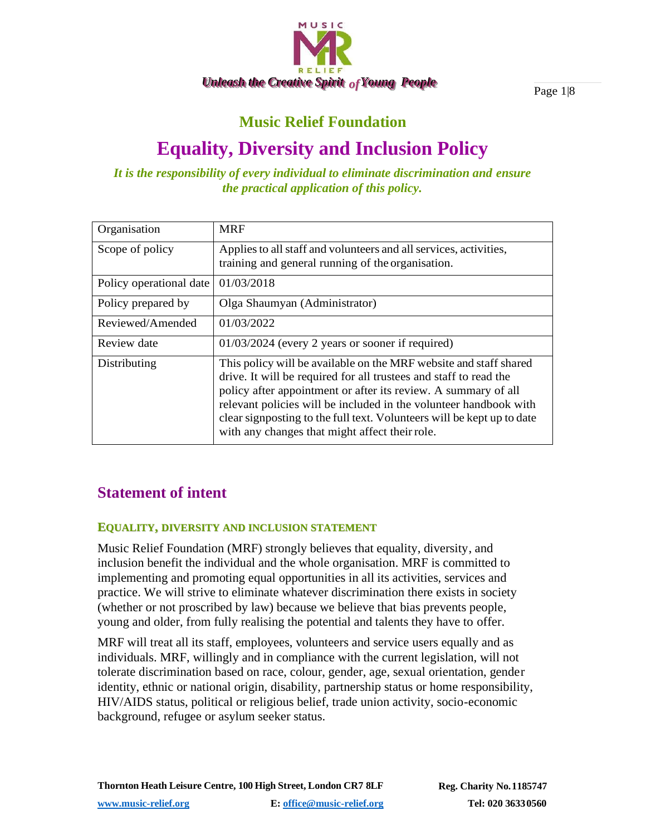

Page 1|8

# **Music Relief Foundation**

# **Equality, Diversity and Inclusion Policy**

*It is the responsibility of every individual to eliminate discrimination and ensure the practical application of this policy.*

| Organisation            | <b>MRF</b>                                                                                                                                                                                                                                                                                                                                                                                                |  |
|-------------------------|-----------------------------------------------------------------------------------------------------------------------------------------------------------------------------------------------------------------------------------------------------------------------------------------------------------------------------------------------------------------------------------------------------------|--|
| Scope of policy         | Applies to all staff and volunteers and all services, activities,<br>training and general running of the organisation.                                                                                                                                                                                                                                                                                    |  |
| Policy operational date | 01/03/2018                                                                                                                                                                                                                                                                                                                                                                                                |  |
| Policy prepared by      | Olga Shaumyan (Administrator)                                                                                                                                                                                                                                                                                                                                                                             |  |
| Reviewed/Amended        | 01/03/2022                                                                                                                                                                                                                                                                                                                                                                                                |  |
| Review date             | $01/03/2024$ (every 2 years or sooner if required)                                                                                                                                                                                                                                                                                                                                                        |  |
| Distributing            | This policy will be available on the MRF website and staff shared<br>drive. It will be required for all trustees and staff to read the<br>policy after appointment or after its review. A summary of all<br>relevant policies will be included in the volunteer handbook with<br>clear signposting to the full text. Volunteers will be kept up to date<br>with any changes that might affect their role. |  |

# **Statement of intent**

# **EQUALITY, DIVERSITY AND INCLUSION STATEMENT**

Music Relief Foundation (MRF) strongly believes that equality, diversity, and inclusion benefit the individual and the whole organisation. MRF is committed to implementing and promoting equal opportunities in all its activities, services and practice. We will strive to eliminate whatever discrimination there exists in society (whether or not proscribed by law) because we believe that bias prevents people, young and older, from fully realising the potential and talents they have to offer.

MRF will treat all its staff, employees, volunteers and service users equally and as individuals. MRF, willingly and in compliance with the current legislation, will not tolerate discrimination based on race, colour, gender, age, sexual orientation, gender identity, ethnic or national origin, disability, partnership status or home responsibility, HIV/AIDS status, political or religious belief, trade union activity, socio-economic background, refugee or asylum seeker status.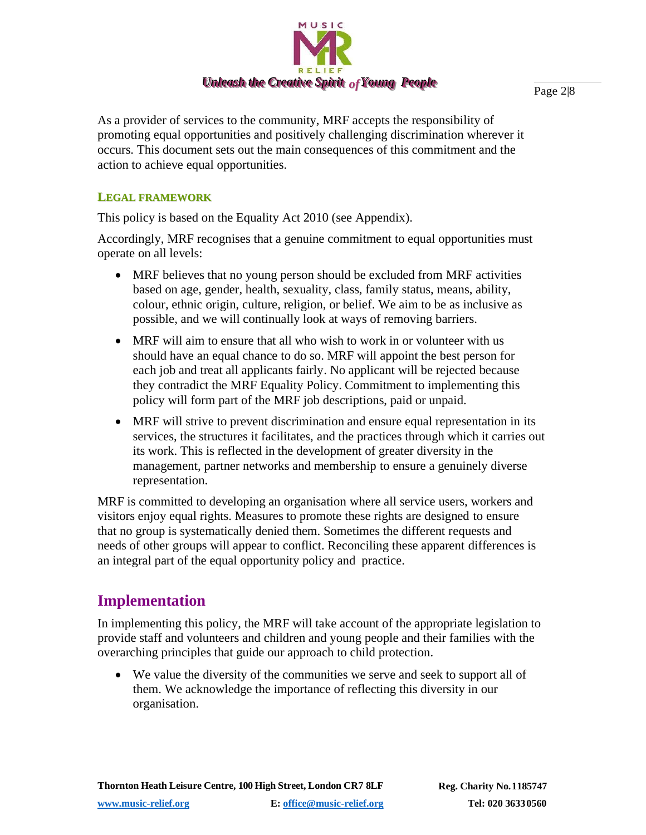

As a provider of services to the community, MRF accepts the responsibility of promoting equal opportunities and positively challenging discrimination wherever it occurs. This document sets out the main consequences of this commitment and the action to achieve equal opportunities.

#### **LEGAL FRAMEWORK**

This policy is based on the Equality Act 2010 (see Appendix).

Accordingly, MRF recognises that a genuine commitment to equal opportunities must operate on all levels:

- MRF believes that no young person should be excluded from MRF activities based on age, gender, health, sexuality, class, family status, means, ability, colour, ethnic origin, culture, religion, or belief. We aim to be as inclusive as possible, and we will continually look at ways of removing barriers.
- MRF will aim to ensure that all who wish to work in or volunteer with us should have an equal chance to do so. MRF will appoint the best person for each job and treat all applicants fairly. No applicant will be rejected because they contradict the MRF Equality Policy. Commitment to implementing this policy will form part of the MRF job descriptions, paid or unpaid.
- MRF will strive to prevent discrimination and ensure equal representation in its services, the structures it facilitates, and the practices through which it carries out its work. This is reflected in the development of greater diversity in the management, partner networks and membership to ensure a genuinely diverse representation.

MRF is committed to developing an organisation where all service users, workers and visitors enjoy equal rights. Measures to promote these rights are designed to ensure that no group is systematically denied them. Sometimes the different requests and needs of other groups will appear to conflict. Reconciling these apparent differences is an integral part of the equal opportunity policy and practice.

# **Implementation**

In implementing this policy, the MRF will take account of the appropriate legislation to provide staff and volunteers and children and young people and their families with the overarching principles that guide our approach to child protection.

• We value the diversity of the communities we serve and seek to support all of them. We acknowledge the importance of reflecting this diversity in our organisation.

Page 2|8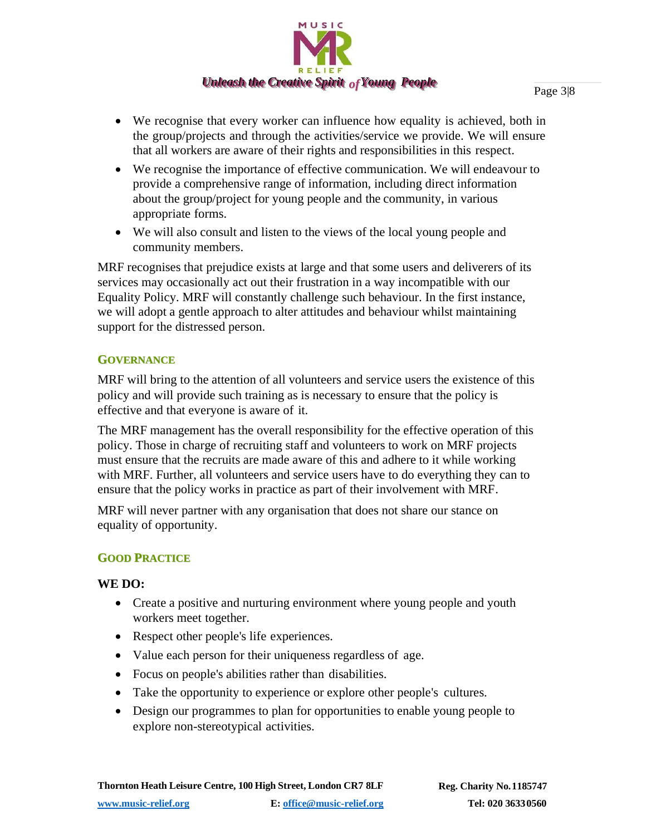

- We recognise that every worker can influence how equality is achieved, both in the group/projects and through the activities/service we provide. We will ensure that all workers are aware of their rights and responsibilities in this respect.
- We recognise the importance of effective communication. We will endeavour to provide a comprehensive range of information, including direct information about the group/project for young people and the community, in various appropriate forms.
- We will also consult and listen to the views of the local young people and community members.

MRF recognises that prejudice exists at large and that some users and deliverers of its services may occasionally act out their frustration in a way incompatible with our Equality Policy. MRF will constantly challenge such behaviour. In the first instance, we will adopt a gentle approach to alter attitudes and behaviour whilst maintaining support for the distressed person.

#### **GOVERNANCE**

MRF will bring to the attention of all volunteers and service users the existence of this policy and will provide such training as is necessary to ensure that the policy is effective and that everyone is aware of it.

The MRF management has the overall responsibility for the effective operation of this policy. Those in charge of recruiting staff and volunteers to work on MRF projects must ensure that the recruits are made aware of this and adhere to it while working with MRF. Further, all volunteers and service users have to do everything they can to ensure that the policy works in practice as part of their involvement with MRF.

MRF will never partner with any organisation that does not share our stance on equality of opportunity.

# **GOOD PRACTICE**

#### **WE DO:**

- Create a positive and nurturing environment where young people and youth workers meet together.
- Respect other people's life experiences.
- Value each person for their uniqueness regardless of age.
- Focus on people's abilities rather than disabilities.
- Take the opportunity to experience or explore other people's cultures.
- Design our programmes to plan for opportunities to enable young people to explore non-stereotypical activities.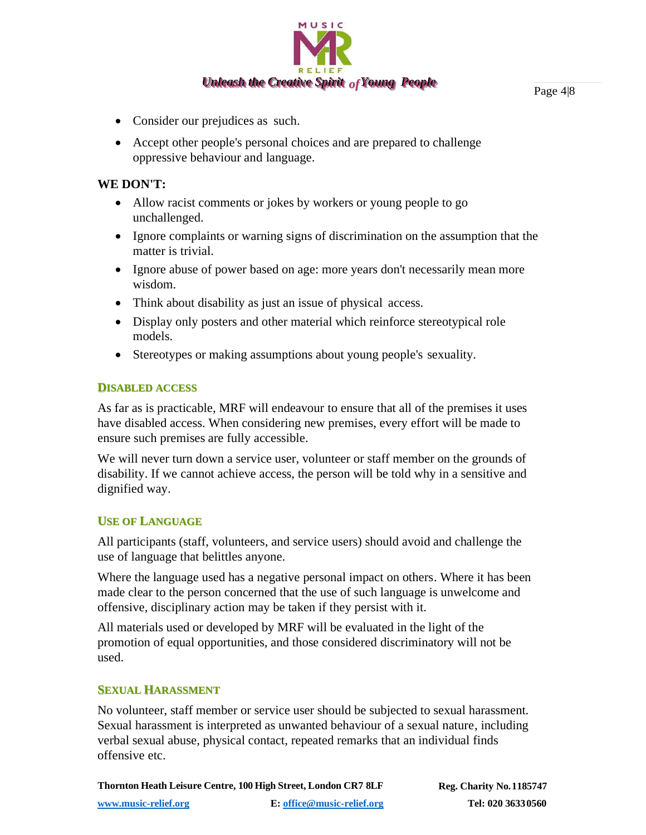

Page 4|8

- Consider our prejudices as such.
- Accept other people's personal choices and are prepared to challenge oppressive behaviour and language.

#### **WE DON'T:**

- Allow racist comments or jokes by workers or young people to go unchallenged.
- Ignore complaints or warning signs of discrimination on the assumption that the matter is trivial.
- Ignore abuse of power based on age: more years don't necessarily mean more wisdom.
- Think about disability as just an issue of physical access.
- Display only posters and other material which reinforce stereotypical role models.
- Stereotypes or making assumptions about young people's sexuality.

# **DISABLED ACCESS**

As far as is practicable, MRF will endeavour to ensure that all of the premises it uses have disabled access. When considering new premises, every effort will be made to ensure such premises are fully accessible.

We will never turn down a service user, volunteer or staff member on the grounds of disability. If we cannot achieve access, the person will be told why in a sensitive and dignified way.

# **USE OF LANGUAGE**

All participants (staff, volunteers, and service users) should avoid and challenge the use of language that belittles anyone.

Where the language used has a negative personal impact on others. Where it has been made clear to the person concerned that the use of such language is unwelcome and offensive, disciplinary action may be taken if they persist with it.

All materials used or developed by MRF will be evaluated in the light of the promotion of equal opportunities, and those considered discriminatory will not be used.

# **SEXUAL HARASSMENT**

No volunteer, staff member or service user should be subjected to sexual harassment. Sexual harassment is interpreted as unwanted behaviour of a sexual nature, including verbal sexual abuse, physical contact, repeated remarks that an individual finds offensive etc.

**Thornton Heath Leisure Centre, 100 High Street, London CR7 8LF Reg. Charity No.1185747 [www.music-relief.org](http://www.music-relief.org/) E[: office@music-relief.org](mailto:office@music-relief.org) Tel: 020 36330560**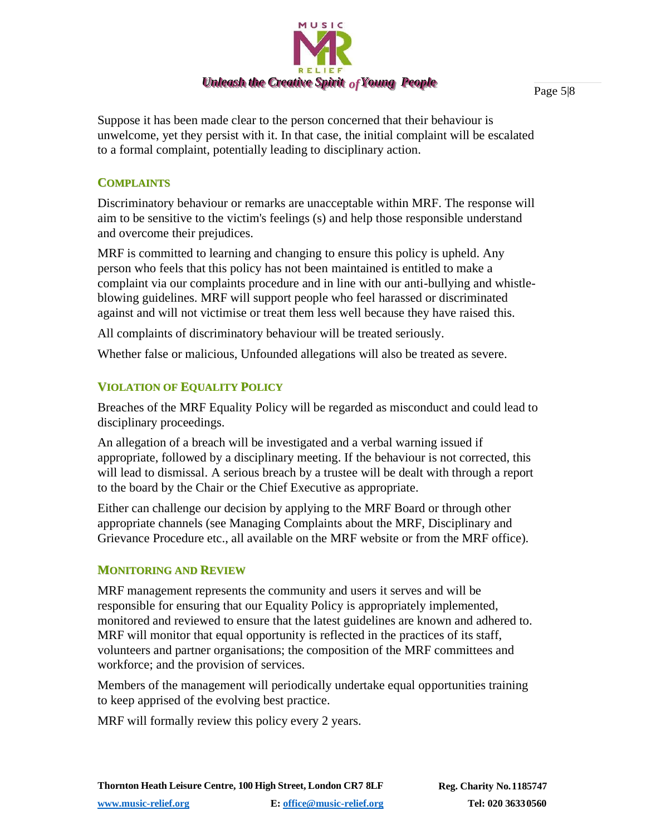

Suppose it has been made clear to the person concerned that their behaviour is unwelcome, yet they persist with it. In that case, the initial complaint will be escalated to a formal complaint, potentially leading to disciplinary action.

#### **COMPLAINTS**

Discriminatory behaviour or remarks are unacceptable within MRF. The response will aim to be sensitive to the victim's feelings (s) and help those responsible understand and overcome their prejudices.

MRF is committed to learning and changing to ensure this policy is upheld. Any person who feels that this policy has not been maintained is entitled to make a complaint via our complaints procedure and in line with our anti-bullying and whistleblowing guidelines. MRF will support people who feel harassed or discriminated against and will not victimise or treat them less well because they have raised this.

All complaints of discriminatory behaviour will be treated seriously.

Whether false or malicious, Unfounded allegations will also be treated as severe.

# **VIOLATION OF EQUALITY POLICY**

Breaches of the MRF Equality Policy will be regarded as misconduct and could lead to disciplinary proceedings.

An allegation of a breach will be investigated and a verbal warning issued if appropriate, followed by a disciplinary meeting. If the behaviour is not corrected, this will lead to dismissal. A serious breach by a trustee will be dealt with through a report to the board by the Chair or the Chief Executive as appropriate.

Either can challenge our decision by applying to the MRF Board or through other appropriate channels (see Managing Complaints about the MRF, Disciplinary and Grievance Procedure etc., all available on the MRF website or from the MRF office).

#### **MONITORING AND REVIEW**

MRF management represents the community and users it serves and will be responsible for ensuring that our Equality Policy is appropriately implemented, monitored and reviewed to ensure that the latest guidelines are known and adhered to. MRF will monitor that equal opportunity is reflected in the practices of its staff, volunteers and partner organisations; the composition of the MRF committees and workforce; and the provision of services.

Members of the management will periodically undertake equal opportunities training to keep apprised of the evolving best practice.

MRF will formally review this policy every 2 years.

Page 5|8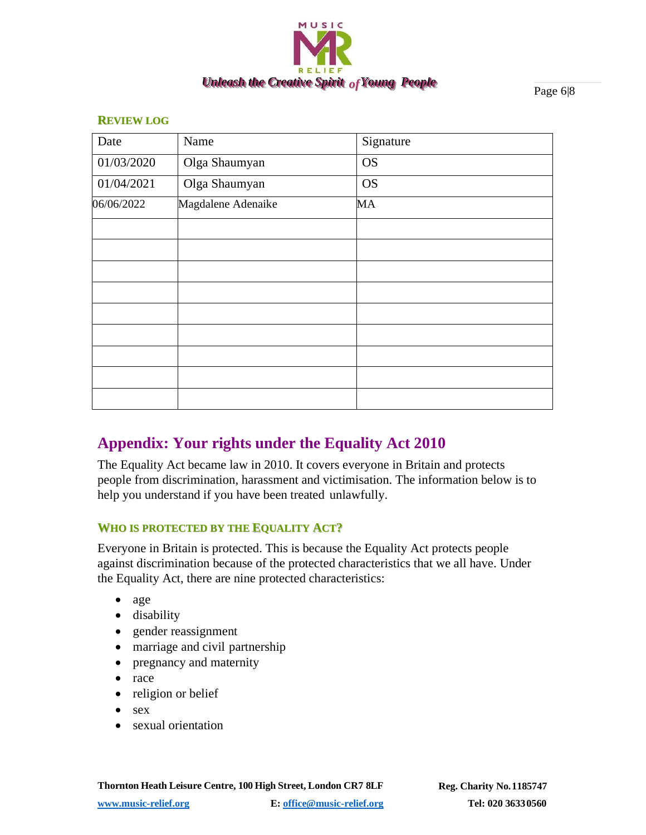

Page 6|8

#### **REVIEW LOG**

| Date       | Name               | Signature |
|------------|--------------------|-----------|
| 01/03/2020 | Olga Shaumyan      | <b>OS</b> |
| 01/04/2021 | Olga Shaumyan      | <b>OS</b> |
| 06/06/2022 | Magdalene Adenaike | MA        |
|            |                    |           |
|            |                    |           |
|            |                    |           |
|            |                    |           |
|            |                    |           |
|            |                    |           |
|            |                    |           |
|            |                    |           |
|            |                    |           |

# **Appendix: Your rights under the Equality Act 2010**

The Equality Act became law in 2010. It covers everyone in Britain and protects people from discrimination, harassment and victimisation. The information below is to help you understand if you have been treated unlawfully.

#### **WHO IS PROTECTED BY THE EQUALITY ACT?**

Everyone in Britain is protected. This is because the Equality Act protects people against discrimination because of the protected characteristics that we all have. Under the Equality Act, there are nine protected characteristics:

- age
- disability
- gender reassignment
- marriage and civil partnership
- pregnancy and maternity
- race
- religion or belief
- sex
- sexual orientation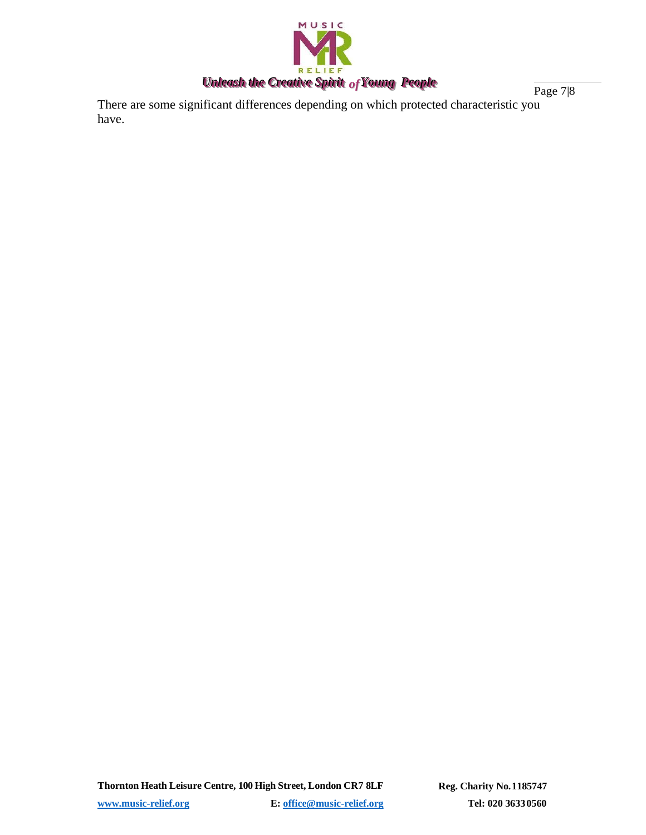

Page 7|8 There are some significant differences depending on which protected characteristic you have.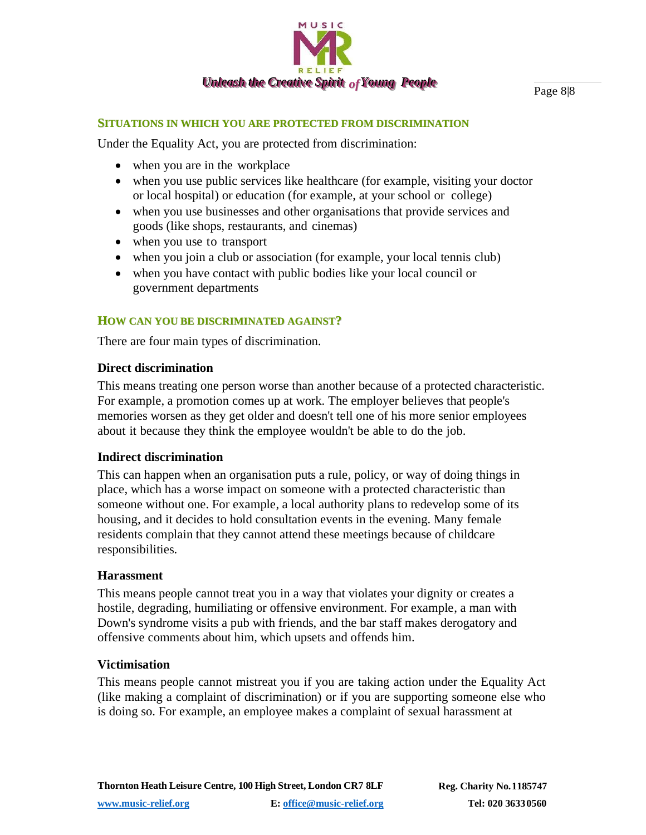

Page 8|8

#### **SITUATIONS IN WHICH YOU ARE PROTECTED FROM DISCRIMINATION**

Under the Equality Act, you are protected from discrimination:

- when you are in the workplace
- when you use public services like healthcare (for example, visiting your doctor or local hospital) or education (for example, at your school or college)
- when you use businesses and other organisations that provide services and goods (like shops, restaurants, and cinemas)
- when you use to transport
- when you join a club or association (for example, your local tennis club)
- when you have contact with public bodies like your local council or government departments

#### **HOW CAN YOU BE DISCRIMINATED AGAINST?**

There are four main types of discrimination.

#### **Direct discrimination**

This means treating one person worse than another because of a protected characteristic. For example, a promotion comes up at work. The employer believes that people's memories worsen as they get older and doesn't tell one of his more senior employees about it because they think the employee wouldn't be able to do the job.

#### **Indirect discrimination**

This can happen when an organisation puts a rule, policy, or way of doing things in place, which has a worse impact on someone with a protected characteristic than someone without one. For example, a local authority plans to redevelop some of its housing, and it decides to hold consultation events in the evening. Many female residents complain that they cannot attend these meetings because of childcare responsibilities.

#### **Harassment**

This means people cannot treat you in a way that violates your dignity or creates a hostile, degrading, humiliating or offensive environment. For example, a man with Down's syndrome visits a pub with friends, and the bar staff makes derogatory and offensive comments about him, which upsets and offends him.

#### **Victimisation**

This means people cannot mistreat you if you are taking action under the Equality Act (like making a complaint of discrimination) or if you are supporting someone else who is doing so. For example, an employee makes a complaint of sexual harassment at